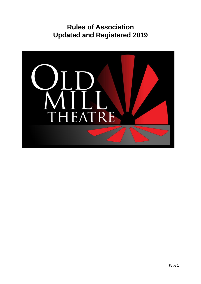# **Rules of Association Updated and Registered 2019**

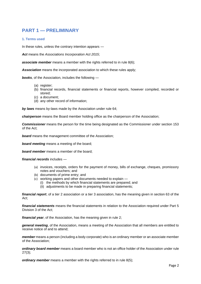## **PART 1 — PRELIMINARY**

#### **1. Terms used**

In these rules, unless the contrary intention appears —

*Act* means the *Associations Incorporation Act 2015*;

**associate member** means a member with the rights referred to in rule 8(6);

*Association* means the incorporated association to which these rules apply;

*books*, of the Association, includes the following —

- (a) register;
- (b) financial records, financial statements or financial reports, however compiled, recorded or stored;
- (c) a document;
- (d) any other record of information;

*by laws* means by-laws made by the Association under rule 64;

*chairperson* means the Board member holding office as the chairperson of the Association;

*Commissioner* means the person for the time being designated as the Commissioner under section 153 of the Act;

**board** means the management committee of the Association;

*board meeting* means a meeting of the board;

*board member* means a member of the board;

*financial records* includes —

- (a) invoices, receipts, orders for the payment of money, bills of exchange, cheques, promissory notes and vouchers; and
- (b) documents of prime entry; and
- (c) working papers and other documents needed to explain
	- (i) the methods by which financial statements are prepared; and
	- (ii) adjustments to be made in preparing financial statements;

*financial report*, of a tier 2 association or a tier 3 association, has the meaning given in section 63 of the Act;

*financial statements* means the financial statements in relation to the Association required under Part 5 Division 3 of the Act;

*financial year*, of the Association, has the meaning given in rule 2;

*general meeting*, of the Association, means a meeting of the Association that all members are entitled to receive notice of and to attend;

*member* means a person (including a body corporate) who is an ordinary member or an associate member of the Association;

*ordinary board member* means a board member who is not an office holder of the Association under rule 27(3);

*ordinary member* means a member with the rights referred to in rule 8(5);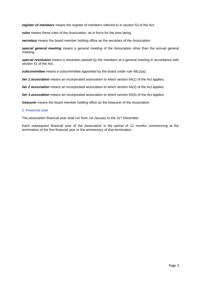*register of members* means the register of members referred to in section 53 of the Act;

*rules* means these rules of the Association, as in force for the time being;

*secretary* means the board member holding office as the secretary of the Association;

*special general meeting* means a general meeting of the Association other than the annual general meeting;

*special resolution* means a resolution passed by the members at a general meeting in accordance with section 51 of the Act;

*subcommittee* means a subcommittee appointed by the board under rule 48(1)(a);

*tier 1 association* means an incorporated association to which section 64(1) of the Act applies;

*tier 2 association* means an incorporated association to which section 64(2) of the Act applies;

*tier 3 association* means an incorporated association to which section 64(3) of the Act applies;

*treasurer* means the board member holding office as the treasurer of the Association.

#### **2. Financial year**

The association financial year shall run from 1st January to the 31<sup>st</sup> December

Each subsequent financial year of the Association is the period of 12 months commencing at the termination of the first financial year or the anniversary of that termination.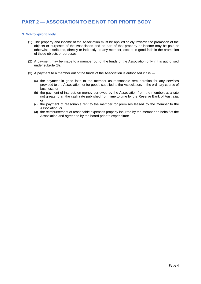## **PART 2 — ASSOCIATION TO BE NOT FOR PROFIT BODY**

#### **3. Not-for-profit body**

- (1) The property and income of the Association must be applied solely towards the promotion of the objects or purposes of the Association and no part of that property or income may be paid or otherwise distributed, directly or indirectly, to any member, except in good faith in the promotion of those objects or purposes.
- (2) A payment may be made to a member out of the funds of the Association only if it is authorised under subrule (3).
- (3) A payment to a member out of the funds of the Association is authorised if it is
	- (a) the payment in good faith to the member as reasonable remuneration for any services provided to the Association, or for goods supplied to the Association, in the ordinary course of business; or
	- (b) the payment of interest, on money borrowed by the Association from the member, at a rate not greater than the cash rate published from time to time by the Reserve Bank of Australia; or
	- (c) the payment of reasonable rent to the member for premises leased by the member to the Association; or
	- (d) the reimbursement of reasonable expenses properly incurred by the member on behalf of the Association and agreed to by the board prior to expenditure.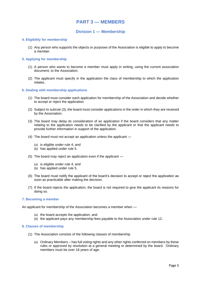## **PART 3 — MEMBERS**

### **Division 1 — Membership**

#### **4. Eligibility for membership**

(1) Any person who supports the objects or purposes of the Association is eligible to apply to become a member.

#### **5. Applying for membership**

- (1) A person who wants to become a member must apply in writing, using the current association document, to the Association.
- (2) The applicant must specify in the application the class of membership to which the application relates.

#### **6. Dealing with membership applications**

- (1) The board must consider each application for membership of the Association and decide whether to accept or reject the application.
- (2) Subject to subrule (3), the board must consider applications in the order in which they are received by the Association.
- (3) The board may delay its consideration of an application if the board considers that any matter relating to the application needs to be clarified by the applicant or that the applicant needs to provide further information in support of the application.
- (4) The board must not accept an application unless the applicant
	- (a) is eligible under rule 4; and
	- (b) has applied under rule 5.
- (5) The board may reject an application even if the applicant
	- (a) is eligible under rule 4; and
	- (b) has applied under rule 5.
- (6) The board must notify the applicant of the board's decision to accept or reject the application as soon as practicable after making the decision.
- (7) If the board rejects the application, the board is not required to give the applicant its reasons for doing so.

#### **7. Becoming a member**

An applicant for membership of the Association becomes a member when —

- (a) the board accepts the application; and
- (b) the applicant pays any membership fees payable to the Association under rule 12.

#### **8. Classes of membership**

- (1) The Association consists of the following classes of membership
	- (a) Ordinary Members has full voting rights and any other rights conferred on members by these rules or approved by resolution at a general meeting or determined by the board. Ordinary members must be over 18 years of age.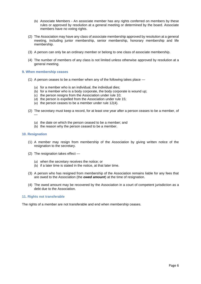- (b) Associate Members An associate member has any rights conferred on members by these rules or approved by resolution at a general meeting or determined by the board. Associate members have no voting rights.
- (2) The Association may have any class of associate membership approved by resolution at a general meeting, including junior membership, senior membership, honorary membership and life membership.
- (3) A person can only be an ordinary member or belong to one class of associate membership.
- (4) The number of members of any class is not limited unless otherwise approved by resolution at a general meeting.

#### **9. When membership ceases**

- (1) A person ceases to be a member when any of the following takes place
	- (a) for a member who is an individual, the individual dies;
	- (b) for a member who is a body corporate, the body corporate is wound up;
	- (c) the person resigns from the Association under rule 10;
	- (d) the person is expelled from the Association under rule 15;
	- (e) the person ceases to be a member under rule 12(4).
- (2) The secretary must keep a record, for at least one year after a person ceases to be a member, of —
	- (a) the date on which the person ceased to be a member; and
	- (b) the reason why the person ceased to be a member.

#### **10. Resignation**

- (1) A member may resign from membership of the Association by giving written notice of the resignation to the secretary.
- (2) The resignation takes effect
	- (a) when the secretary receives the notice; or
	- (b) if a later time is stated in the notice, at that later time.
- (3) A person who has resigned from membership of the Association remains liable for any fees that are owed to the Association (the *owed amount*) at the time of resignation.
- (4) The owed amount may be recovered by the Association in a court of competent jurisdiction as a debt due to the Association.

#### **11. Rights not transferable**

The rights of a member are not transferable and end when membership ceases.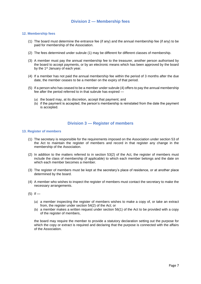## **Division 2 — Membership fees**

#### **12. Membership fees**

- (1) The board must determine the entrance fee (if any) and the annual membership fee (if any) to be paid for membership of the Association.
- (2) The fees determined under subrule (1) may be different for different classes of membership.
- (3) A member must pay the annual membership fee to the treasurer, another person authorised by the board to accept payments, or by an electronic means which has been approved by the board by the 1<sup>st</sup> January of each year.
- (4) If a member has not paid the annual membership fee within the period of 3 months after the due date, the member ceases to be a member on the expiry of that period.
- (5) If a person who has ceased to be a member under subrule (4) offers to pay the annual membership fee after the period referred to in that subrule has expired —
	- (a) the board may, at its discretion, accept that payment; and
	- (b) if the payment is accepted, the person's membership is reinstated from the date the payment is accepted.

### **Division 3 — Register of members**

#### **13. Register of members**

- (1) The secretary is responsible for the requirements imposed on the Association under section 53 of the Act to maintain the register of members and record in that register any change in the membership of the Association.
- (2) In addition to the matters referred to in section 53(2) of the Act, the register of members must include the class of membership (if applicable) to which each member belongs and the date on which each member becomes a member.
- (3) The register of members must be kept at the secretary's place of residence, or at another place determined by the board.
- (4) A member who wishes to inspect the register of members must contact the secretary to make the necessary arrangements.
- $(5)$  If
	- (a) a member inspecting the register of members wishes to make a copy of, or take an extract from, the register under section 54(2) of the Act; or
	- (b) a member makes a written request under section 56(1) of the Act to be provided with a copy of the register of members,

the board may require the member to provide a statutory declaration setting out the purpose for which the copy or extract is required and declaring that the purpose is connected with the affairs of the Association.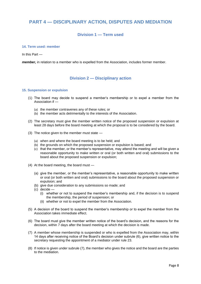## **PART 4 — DISCIPLINARY ACTION, DISPUTES AND MEDIATION**

## **Division 1 — Term used**

#### **14. Term used: member**

In this Part —

*member,* in relation to a member who is expelled from the Association, includes former member.

## **Division 2 — Disciplinary action**

#### **15. Suspension or expulsion**

- (1) The board may decide to suspend a member's membership or to expel a member from the Association if —
	- (a) the member contravenes any of these rules; or
	- (b) the member acts detrimentally to the interests of the Association.
- (2) The secretary must give the member written notice of the proposed suspension or expulsion at least 28 days before the board meeting at which the proposal is to be considered by the board.
- (3) The notice given to the member must state
	- (a) when and where the board meeting is to be held; and
	- (b) the grounds on which the proposed suspension or expulsion is based; and
	- (c) that the member, or the member's representative, may attend the meeting and will be given a reasonable opportunity to make written or oral (or both written and oral) submissions to the board about the proposed suspension or expulsion;
- (4) At the board meeting, the board must
	- (a) give the member, or the member's representative, a reasonable opportunity to make written or oral (or both written and oral) submissions to the board about the proposed suspension or expulsion; and
	- (b) give due consideration to any submissions so made; and
	- (c) decide
		- (i) whether or not to suspend the member's membership and, if the decision is to suspend the membership, the period of suspension; or
		- (ii) whether or not to expel the member from the Association.
- (5) A decision of the board to suspend the member's membership or to expel the member from the Association takes immediate effect.
- (6) The board must give the member written notice of the board's decision, and the reasons for the decision, within 7 days after the board meeting at which the decision is made.
- (7) A member whose membership is suspended or who is expelled from the Association may, within 14 days after receiving notice of the Board's decision under subrule (6), give written notice to the secretary requesting the appointment of a mediator under rule 23.
- (8) If notice is given under subrule (7), the member who gives the notice and the board are the parties to the mediation.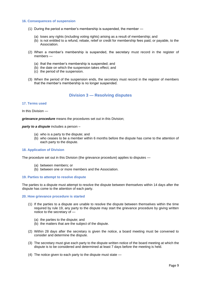#### **16. Consequences of suspension**

- (1) During the period a member's membership is suspended, the member
	- (a) loses any rights (including voting rights) arising as a result of membership; and
	- (b) is not entitled to a refund, rebate, relief or credit for membership fees paid, or payable, to the Association.
- (2) When a member's membership is suspended, the secretary must record in the register of members —
	- (a) that the member's membership is suspended; and
	- (b) the date on which the suspension takes effect; and
	- (c) the period of the suspension.
- (3) When the period of the suspension ends, the secretary must record in the register of members that the member's membership is no longer suspended.

### **Division 3 — Resolving disputes**

#### **17. Terms used**

In this Division —

*grievance procedure* means the procedures set out in this Division;

*party to a dispute* includes a person –

- (a) who is a party to the dispute; and
- (b) who ceases to be a member within 6 months before the dispute has come to the attention of each party to the dispute.

#### **18. Application of Division**

The procedure set out in this Division (the grievance procedure) applies to disputes —

- (a) between members; or
- (b) between one or more members and the Association.

#### **19. Parties to attempt to resolve dispute**

The parties to a dispute must attempt to resolve the dispute between themselves within 14 days after the dispute has come to the attention of each party.

#### **20. How grievance procedure is started**

- (1) If the parties to a dispute are unable to resolve the dispute between themselves within the time required by rule 19, any party to the dispute may start the grievance procedure by giving written notice to the secretary of —
	- (a) the parties to the dispute; and
	- (b) the matters that are the subject of the dispute.
- (2) Within 28 days after the secretary is given the notice, a board meeting must be convened to consider and determine the dispute.
- (3) The secretary must give each party to the dispute written notice of the board meeting at which the dispute is to be considered and determined at least 7 days before the meeting is held.
- (4) The notice given to each party to the dispute must state —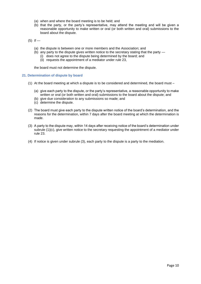- (a) when and where the board meeting is to be held; and
- (b) that the party, or the party's representative, may attend the meeting and will be given a reasonable opportunity to make written or oral (or both written and oral) submissions to the board about the dispute.

 $(5)$  If —

- (a) the dispute is between one or more members and the Association; and
- (b) any party to the dispute gives written notice to the secretary stating that the party
	- (i) does not agree to the dispute being determined by the board; and
	- (ii) requests the appointment of a mediator under rule 23,

the board must not determine the dispute.

#### **21. Determination of dispute by board**

- (1) At the board meeting at which a dispute is to be considered and determined, the board must
	- (a) give each party to the dispute, or the party's representative, a reasonable opportunity to make written or oral (or both written and oral) submissions to the board about the dispute; and
	- (b) give due consideration to any submissions so made; and
	- (c) determine the dispute.
- (2) The board must give each party to the dispute written notice of the board's determination, and the reasons for the determination, within 7 days after the board meeting at which the determination is made.
- (3) A party to the dispute may, within 14 days after receiving notice of the board's determination under subrule (1)(c), give written notice to the secretary requesting the appointment of a mediator under rule 23.
- (4) If notice is given under subrule (3), each party to the dispute is a party to the mediation.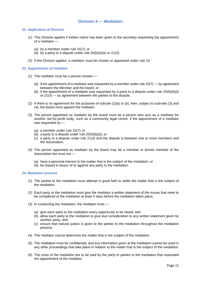### **Division 4 — Mediation**

#### **22. Application of Division**

- (1) This Division applies if written notice has been given to the secretary requesting the appointment of a mediator —
	- (a) by a member under rule 15(7); or
	- (b) by a party to a dispute under rule  $20(5)(b)(ii)$  or  $21(3)$ .
- (2) If this Division applies, a mediator must be chosen or appointed under rule 23.

#### **23. Appointment of mediator**

- (1) The mediator must be a person chosen
	- (a) if the appointment of a mediator was requested by a member under rule  $15(7)$  by agreement between the Member and the board; or
	- (b) if the appointment of a mediator was requested by a party to a dispute under rule  $20(5)(b)(ii)$ or 21(3) — by agreement between the parties to the dispute.
- (2) If there is no agreement for the purposes of subrule (1)(a) or (b), then, subject to subrules (3) and (4), the board must appoint the mediator.
- (3) The person appointed as mediator by the board must be a person who acts as a mediator for another not-for-profit body, such as a community legal centre, if the appointment of a mediator was requested by —
	- (a) a member under rule 15(7); or
	- (b) a party to a dispute under rule 20(5)(b)(ii); or
	- (c) a party to a dispute under rule 21(3) and the dispute is between one or more members and the Association.
- (4) The person appointed as mediator by the board may be a member or former member of the Association but must not —
	- (a) have a personal interest in the matter that is the subject of the mediation; or
	- (b) be biased in favour of or against any party to the mediation.

#### **24. Mediation process**

- (1) The parties to the mediation must attempt in good faith to settle the matter that is the subject of the mediation.
- (2) Each party to the mediation must give the mediator a written statement of the issues that need to be considered at the mediation at least 5 days before the mediation takes place.
- (3) In conducting the mediation, the mediator must
	- (a) give each party to the mediation every opportunity to be heard; and
	- (b) allow each party to the mediation to give due consideration to any written statement given by another party; and
	- (c) ensure that natural justice is given to the parties to the mediation throughout the mediation process.
- (4) The mediator cannot determine the matter that is the subject of the mediation.
- (5) The mediation must be confidential, and any information given at the mediation cannot be used in any other proceedings that take place in relation to the matter that is the subject of the mediation.
- (6) The costs of the mediation are to be paid by the party or parties to the mediation that requested the appointment of the mediator.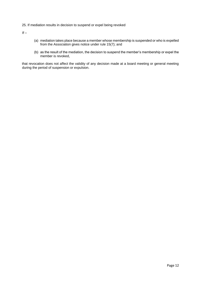#### 25. If mediation results in decision to suspend or expel being revoked

 $If -$ 

- (a) mediation takes place because a member whose membership is suspended or who is expelled from the Association gives notice under rule 15(7); and
- (b) as the result of the mediation, the decision to suspend the member's membership or expel the member is revoked,

that revocation does not affect the validity of any decision made at a board meeting or general meeting during the period of suspension or expulsion.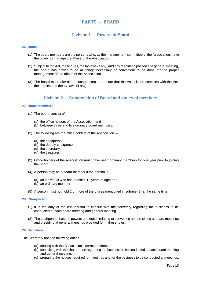## **PART5 — BOARD**

## **Division 1 — Powers of Board**

#### **26. Board**

- (1) The board members are the persons who, as the management committee of the Association, have the power to manage the affairs of the Association.
- (2) Subject to the Act, these rules, the by-laws (if any) and any resolution passed at a general meeting, the board has power to do all things necessary or convenient to be done for the proper management of the affairs of the Association.
- (3) The board must take all reasonable steps to ensure that the Association complies with the Act, these rules and the by-laws (if any).

## **Division 2 — Composition of Board and duties of members**

#### **27. Board members**

- (1) The board consist of
	- (a) the office holders of the Association; and
	- (b) between three and five ordinary board members.
- (2) The following are the office holders of the Association
	- (a) the chairperson;
	- (b) the deputy chairperson;
	- (c) the secretary;
	- (d) the treasurer.
- (3) Office holders of the Association must have been ordinary members for one year prior to joining the board.
- (4) A person may be a board member if the person is
	- (a) an individual who has reached 18 years of age; and
	- (b) an ordinary member.
- (5) A person must not hold 2 or more of the offices mentioned in subrule (3) at the same time.

#### **28. Chairperson**

- (1) It is the duty of the chairperson to consult with the secretary regarding the business to be conducted at each board meeting and general meeting.
- (2) The chairperson has the powers and duties relating to convening and presiding at board meetings and presiding at general meetings provided for in these rules.

#### **29. Secretary**

The Secretary has the following duties —

- (a) dealing with the Association's correspondence;
- (b) consulting with the chairperson regarding the business to be conducted at each board meeting and general meeting;
- (c) preparing the notices required for meetings and for the business to be conducted at meetings;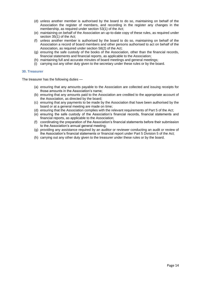- (d) unless another member is authorised by the board to do so, maintaining on behalf of the Association the register of members, and recording in the register any changes in the membership, as required under section 53(1) of the Act;
- (e) maintaining on behalf of the Association an up-to-date copy of these rules, as required under section 35(1) of the Act;
- (f) unless another member is authorised by the board to do so, maintaining on behalf of the Association a record of board members and other persons authorised to act on behalf of the Association, as required under section 58(2) of the Act;
- (g) ensuring the safe custody of the books of the Association, other than the financial records, financial statements and financial reports, as applicable to the Association;
- (h) maintaining full and accurate minutes of board meetings and general meetings;
- (i) carrying out any other duty given to the secretary under these rules or by the board.

#### **30. Treasurer**

The treasurer has the following duties —

- (a) ensuring that any amounts payable to the Association are collected and issuing receipts for those amounts in the Association's name;
- (b) ensuring that any amounts paid to the Association are credited to the appropriate account of the Association, as directed by the board;
- (c) ensuring that any payments to be made by the Association that have been authorised by the board or at a general meeting are made on time;
- (d) ensuring that the Association complies with the relevant requirements of Part 5 of the Act;
- (e) ensuring the safe custody of the Association's financial records, financial statements and financial reports, as applicable to the Association;
- (f) coordinating the preparation of the Association's financial statements before their submission to the Association's annual general meeting;
- (g) providing any assistance required by an auditor or reviewer conducting an audit or review of the Association's financial statements or financial report under Part 5 Division 5 of the Act;
- (h) carrying out any other duty given to the treasurer under these rules or by the board.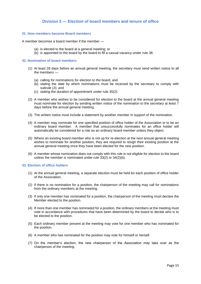## **Division 3 — Election of board members and tenure of office**

#### **31. How members become Board members**

A member becomes a board member if the member —

- (a) is elected to the board at a general meeting; or
- (b) is appointed to the board by the board to fill a casual vacancy under rule 38.

#### **32. Nomination of board members**

- (1) At least 28 days before an annual general meeting, the secretary must send written notice to all the members —
	- (a) calling for nominations for election to the board; and
	- (b) stating the date by which nominations must be received by the secretary to comply with subrule (2); and
	- (c) stating the duration of appointment under rule 35(2).
- (2) A member who wishes to be considered for election to the board at the annual general meeting must nominate for election by sending written notice of the nomination to the secretary at least 7 days before the annual general meeting.
- (3) The written notice must include a statement by another member in support of the nomination.
- (4) A member may nominate for one specified position of office holder of the Association or to be an ordinary board member. A member that unsuccessfully nominates for an office holder will automatically be considered for a role as an ordinary board member unless they object.
- (5) Where an existing board member who is not up for re-election at the next annual general meeting wishes to nominate for another position, they are required to resign their existing position at the annual general meeting once they have been elected for the new position.
- (6) A member whose nomination does not comply with this rule is not eligible for election to the board unless the member is nominated under rule 33(2) or 34(2)(b).

#### **33. Election of office holders**

- (1) At the annual general meeting, a separate election must be held for each position of office holder of the Association.
- (2) If there is no nomination for a position, the chairperson of the meeting may call for nominations from the ordinary members at the meeting.
- (3) If only one member has nominated for a position, the chairperson of the meeting must declare the Member elected to the position.
- (4) If more than one member has nominated for a position, the ordinary members at the meeting must vote in accordance with procedures that have been determined by the board to decide who is to be elected to the position.
- (5) Each ordinary member present at the meeting may vote for one member who has nominated for the position.
- (6) A member who has nominated for the position may vote for himself or herself.
- (7) On the member's election, the new chairperson of the Association may take over as the chairperson of the meeting.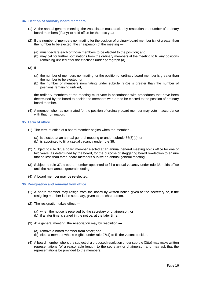#### **34. Election of ordinary board members**

- (1) At the annual general meeting, the Association must decide by resolution the number of ordinary board members (if any) to hold office for the next year.
- (2) If the number of members nominating for the position of ordinary board member is not greater than the number to be elected, the chairperson of the meeting -
	- (a) must declare each of those members to be elected to the position; and
	- (b) may call for further nominations from the ordinary members at the meeting to fill any positions remaining unfilled after the elections under paragraph (a).
- $(3)$  If
	- (a) the number of members nominating for the position of ordinary board member is greater than the number to be elected; or
	- (b) the number of members nominating under subrule (2)(b) is greater than the number of positions remaining unfilled,

the ordinary members at the meeting must vote in accordance with procedures that have been determined by the board to decide the members who are to be elected to the position of ordinary board member.

(4) A member who has nominated for the position of ordinary board member may vote in accordance with that nomination.

#### **35. Term of office**

- (1) The term of office of a board member begins when the member
	- (a) is elected at an annual general meeting or under subrule 36(3)(b); or
	- (b) is appointed to fill a casual vacancy under rule 38.
- (2) Subject to rule 37, a board member elected at an annual general meeting holds office for one or two years, as determined by the board, for the purpose of staggering board re-election to ensure that no less than three board members survive an annual general meeting.
- (3) Subject to rule 37, a board member appointed to fill a casual vacancy under rule 38 holds office until the next annual general meeting.
- (4) A board member may be re-elected.

#### **36. Resignation and removal from office**

- (1) A board member may resign from the board by written notice given to the secretary or, if the resigning member is the secretary, given to the chairperson.
- (2) The resignation takes effect
	- (a) when the notice is received by the secretary or chairperson; or
	- (b) if a later time is stated in the notice, at the later time.
- (3) At a general meeting, the Association may by resolution
	- (a) remove a board member from office; and
	- (b) elect a member who is eligible under rule 27(4) to fill the vacant position.
- (4) A board member who is the subject of a proposed resolution under subrule (3)(a) may make written representations (of a reasonable length) to the secretary or chairperson and may ask that the representations be provided to the members.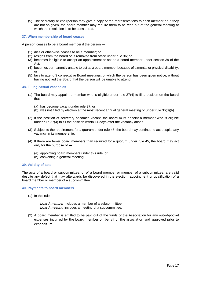(5) The secretary or chairperson may give a copy of the representations to each member or, if they are not so given, the board member may require them to be read out at the general meeting at which the resolution is to be considered.

#### **37. When membership of board ceases**

A person ceases to be a board member if the person —

- (1) dies or otherwise ceases to be a member; or
- (2) resigns from the board or is removed from office under rule 36; or
- (3) becomes ineligible to accept an appointment or act as a board member under section 39 of the Act;
- (4) becomes permanently unable to act as a board member because of a mental or physical disability; or
- (5) fails to attend 3 consecutive Board meetings, of which the person has been given notice, without having notified the Board that the person will be unable to attend.

#### **38. Filling casual vacancies**

- (1) The board may appoint a member who is eligible under rule 27(4) to fill a position on the board that —
	- (a) has become vacant under rule 37; or
	- (b) was not filled by election at the most recent annual general meeting or under rule 36(3)(b).
- (2) If the position of secretary becomes vacant, the board must appoint a member who is eligible under rule 27(4) to fill the position within 14 days after the vacancy arises.
- (3) Subject to the requirement for a quorum under rule 45, the board may continue to act despite any vacancy in its membership.
- (4) If there are fewer board members than required for a quorum under rule 45, the board may act only for the purpose of —
	- (a) appointing board members under this rule; or
	- (b) convening a general meeting.

#### **39. Validity of acts**

The acts of a board or subcommittee, or of a board member or member of a subcommittee, are valid despite any defect that may afterwards be discovered in the election, appointment or qualification of a board member or member of a subcommittee.

#### **40. Payments to board members**

 $(1)$  In this rule —

*board member* includes a member of a subcommittee; *board meeting* includes a meeting of a subcommittee.

(2) A board member is entitled to be paid out of the funds of the Association for any out-of-pocket expenses incurred by the board member on behalf of the association and approved prior to expenditure.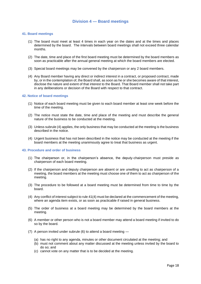#### **41. Board meetings**

- (1) The board must meet at least 4 times in each year on the dates and at the times and places determined by the board. The intervals between board meetings shall not exceed three calendar months.
- (2) The date, time and place of the first board meeting must be determined by the board members as soon as practicable after the annual general meeting at which the board members are elected.
- (3) Special board meetings may be convened by the chairperson or any 2 board members.
- (4) Any Board member having any direct or indirect interest in a contract, or proposed contract, made by, or in the contemplation of, the Board shall, as soon as he or she becomes aware of that interest, disclose the nature and extent of that interest to the Board. That Board member shall not take part in any deliberations or decision of the Board with respect to that contract.

#### **42. Notice of board meetings**

- (1) Notice of each board meeting must be given to each board member at least one week before the time of the meeting.
- (2) The notice must state the date, time and place of the meeting and must describe the general nature of the business to be conducted at the meeting.
- (3) Unless subrule (4) applies, the only business that may be conducted at the meeting is the business described in the notice.
- (4) Urgent business that has not been described in the notice may be conducted at the meeting if the board members at the meeting unanimously agree to treat that business as urgent.

#### **43. Procedure and order of business**

- (1) The chairperson or, in the chairperson's absence, the deputy-chairperson must preside as chairperson of each board meeting.
- (2) If the chairperson and deputy chairperson are absent or are unwilling to act as chairperson of a meeting, the board members at the meeting must choose one of them to act as chairperson of the meeting.
- (3) The procedure to be followed at a board meeting must be determined from time to time by the board.
- (4) Any conflict of interest subject to rule 41(4) must be declared at the commencement of the meeting, where an agenda item exists, or as soon as practicable if raised in general business.
- (5) The order of business at a board meeting may be determined by the board members at the meeting.
- (6) A member or other person who is not a board member may attend a board meeting if invited to do so by the board.
- (7) A person invited under subrule (6) to attend a board meeting
	- (a) has no right to any agenda, minutes or other document circulated at the meeting; and
	- (b) must not comment about any matter discussed at the meeting unless invited by the board to do so; and
	- (c) cannot vote on any matter that is to be decided at the meeting.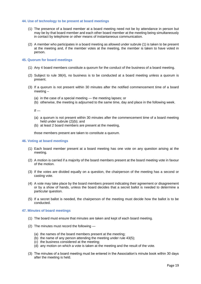#### **44. Use of technology to be present at board meetings**

- (1) The presence of a board member at a board meeting need not be by attendance in person but may be by that board member and each other board member at the meeting being simultaneously in contact by telephone or other means of instantaneous communication.
- (2) A member who participates in a board meeting as allowed under subrule (1) is taken to be present at the meeting and, if the member votes at the meeting, the member is taken to have voted in person.

#### **45. Quorum for board meetings**

- (1) Any 4 board members constitute a quorum for the conduct of the business of a board meeting.
- (2) Subject to rule 38(4), no business is to be conducted at a board meeting unless a quorum is present.
- (3) If a quorum is not present within 30 minutes after the notified commencement time of a board meeting –
	- (a) in the case of a special meeting the meeting lapses; or
	- (b) otherwise, the meeting is adjourned to the same time, day and place in the following week.

 $If -$ 

- (a) a quorum is not present within 30 minutes after the commencement time of a board meeting held under subrule (2)(b); and
- (b) at least 2 board members are present at the meeting,

those members present are taken to constitute a quorum.

#### **46. Voting at board meetings**

- (1) Each board member present at a board meeting has one vote on any question arising at the meeting.
- (2) A motion is carried if a majority of the board members present at the board meeting vote in favour of the motion.
- (3) If the votes are divided equally on a question, the chairperson of the meeting has a second or casting vote.
- (4) A vote may take place by the board members present indicating their agreement or disagreement or by a show of hands, unless the board decides that a secret ballot is needed to determine a particular question.
- (5) If a secret ballot is needed, the chairperson of the meeting must decide how the ballot is to be conducted.

#### **47. Minutes of board meetings**

- (1) The board must ensure that minutes are taken and kept of each board meeting.
- (2) The minutes must record the following
	- (a) the names of the board members present at the meeting;
	- (b) the name of any person attending the meeting under rule 43(5);
	- (c) the business considered at the meeting;
	- (d) any motion on which a vote is taken at the meeting and the result of the vote.
- (3) The minutes of a board meeting must be entered in the Association's minute book within 30 days after the meeting is held.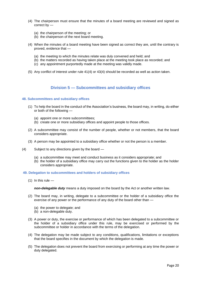- (4) The chairperson must ensure that the minutes of a board meeting are reviewed and signed as correct by —
	- (a) the chairperson of the meeting; or
	- (b) the chairperson of the next board meeting.
- (4) When the minutes of a board meeting have been signed as correct they are, until the contrary is proved, evidence that —
	- (a) the meeting to which the minutes relate was duly convened and held; and
	- (b) the matters recorded as having taken place at the meeting took place as recorded; and
	- (c) any appointment purportedly made at the meeting was validly made.
- (5) Any conflict of interest under rule 41(4) or 43(4) should be recorded as well as action taken.

### **Division 5 — Subcommittees and subsidiary offices**

#### **48. Subcommittees and subsidiary offices**

- (1) To help the board in the conduct of the Association's business, the board may, in writing, do either or both of the following —
	- (a) appoint one or more subcommittees;
	- (b) create one or more subsidiary offices and appoint people to those offices.
- (2) A subcommittee may consist of the number of people, whether or not members, that the board considers appropriate.
- (3) A person may be appointed to a subsidiary office whether or not the person is a member.
- (4) Subject to any directions given by the board
	- (a) a subcommittee may meet and conduct business as it considers appropriate; and
	- (b) the holder of a subsidiary office may carry out the functions given to the holder as the holder considers appropriate.

#### **49. Delegation to subcommittees and holders of subsidiary offices**

 $(1)$  In this rule —

*non-delegable duty* means a duty imposed on the board by the Act or another written law.

- (2) The board may, in writing, delegate to a subcommittee or the holder of a subsidiary office the exercise of any power or the performance of any duty of the board other than -
	- (a) the power to delegate; and
	- (b) a non-delegable duty.
- (3) A power or duty, the exercise or performance of which has been delegated to a subcommittee or the holder of a subsidiary office under this rule, may be exercised or performed by the subcommittee or holder in accordance with the terms of the delegation.
- (4) The delegation may be made subject to any conditions, qualifications, limitations or exceptions that the board specifies in the document by which the delegation is made.
- (5) The delegation does not prevent the board from exercising or performing at any time the power or duty delegated.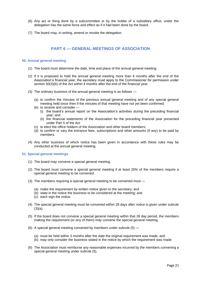- (6) Any act or thing done by a subcommittee or by the holder of a subsidiary office, under the delegation has the same force and effect as if it had been done by the board.
- (7) The board may, in writing, amend or revoke the delegation.

## **PART 6 — GENERAL MEETINGS OF ASSOCIATION**

#### **50. Annual general meeting**

- (1) The board must determine the date, time and place of the annual general meeting.
- (2) If it is proposed to hold the annual general meeting more than 6 months after the end of the Association's financial year, the secretary must apply to the Commissioner for permission under section 50(3)(b) of the Act within 4 months after the end of the financial year.
- (3) The ordinary business of the annual general meeting is as follows
	- (a) to confirm the minutes of the previous annual general meeting and of any special general meeting held since then if the minutes of that meeting have not yet been confirmed;
	- (b) to receive and consider
		- (i) the board's annual report on the Association's activities during the preceding financial year; and
		- (ii) the financial statements of the Association for the preceding financial year presented under Part 5 of the Act
	- (c) to elect the office holders of the Association and other board members;
	- (d) to confirm or vary the entrance fees, subscriptions and other amounts (if any) to be paid by members.
- (4) Any other business of which notice has been given in accordance with these rules may be conducted at the annual general meeting.

#### **51. Special general meetings**

- (1) The board may convene a special general meeting.
- (2) The board must convene a special general meeting if at least 20% of the members require a special general meeting to be convened.
- (3) The members requiring a special general meeting to be convened must
	- (a) make the requirement by written notice given to the secretary; and
	- (b) state in the notice the business to be considered at the meeting; and
	- (c) each sign the notice.
- (4) The special general meeting must be convened within 28 days after notice is given under subrule  $(3)(a)$ .
- (5) If the board does not convene a special general meeting within that 28 day period, the members making the requirement (or any of them) may convene the special general meeting.
- (6) A special general meeting convened by members under subrule (5)
	- (a) must be held within 3 months after the date the original requirement was made; and
	- (b) may only consider the business stated in the notice by which the requirement was made.
- (6) The Association must reimburse any reasonable expenses incurred by the members convening a special general meeting under subrule (5).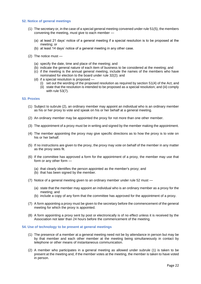#### **52. Notice of general meetings**

- (1) The secretary or, in the case of a special general meeting convened under rule 51(5), the members convening the meeting, must give to each member —
	- (a) at least 21 days' notice of a general meeting if a special resolution is to be proposed at the meeting; or
	- (b) at least 14 days' notice of a general meeting in any other case.
- (2) The notice must
	- (a) specify the date, time and place of the meeting; and
	- (b) indicate the general nature of each item of business to be considered at the meeting; and
	- (c) if the meeting is the annual general meeting, include the names of the members who have nominated for election to the board under rule 32(2); and
	- (d) if a special resolution is proposed
		- (i) set out the wording of the proposed resolution as required by section 51(4) of the Act; and
		- (ii) state that the resolution is intended to be proposed as a special resolution; and (iii) comply with rule 53(7).

#### **53. Proxies**

- (1) Subject to subrule (2), an ordinary member may appoint an individual who is an ordinary member as his or her proxy to vote and speak on his or her behalf at a general meeting.
- (2) An ordinary member may be appointed the proxy for not more than one other member.
- (3) The appointment of a proxy must be in writing and signed by the member making the appointment.
- (4) The member appointing the proxy may give specific directions as to how the proxy is to vote on his or her behalf.
- (5) If no instructions are given to the proxy, the proxy may vote on behalf of the member in any matter as the proxy sees fit.
- (6) If the committee has approved a form for the appointment of a proxy, the member may use that form or any other form —
	- (a) that clearly identifies the person appointed as the member's proxy; and
	- (b) that has been signed by the member.
- (7) Notice of a general meeting given to an ordinary member under rule 52 must
	- (a) state that the member may appoint an individual who is an ordinary member as a proxy for the meeting; and
	- (b) include a copy of any form that the committee has approved for the appointment of a proxy.
- (7) A form appointing a proxy must be given to the secretary before the commencement of the general meeting for which the proxy is appointed.
- (8) A form appointing a proxy sent by post or electronically is of no effect unless it is received by the Association not later than 24 hours before the commencement of the meeting.

#### **54. Use of technology to be present at general meetings**

- (1) The presence of a member at a general meeting need not be by attendance in person but may be by that member and each other member at the meeting being simultaneously in contact by telephone or other means of instantaneous communication.
- (2) A member who participates in a general meeting as allowed under subrule (1) is taken to be present at the meeting and, if the member votes at the meeting, the member is taken to have voted in person.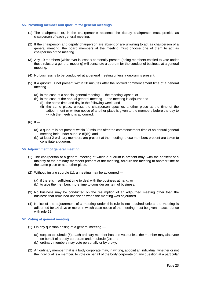#### **55. Presiding member and quorum for general meetings**

- (1) The chairperson or, in the chairperson's absence, the deputy chairperson must preside as chairperson of each general meeting.
- (2) If the chairperson and deputy chairperson are absent or are unwilling to act as chairperson of a general meeting, the board members at the meeting must choose one of them to act as chairperson of the meeting.
- (3) Any 10 members (whichever is lesser) personally present (being members entitled to vote under these rules at a general meeting) will constitute a quorum for the conduct of business at a general meeting.
- (4) No business is to be conducted at a general meeting unless a quorum is present.
- (5) If a quorum is not present within 30 minutes after the notified commencement time of a general meeting —
	- (a) in the case of a special general meeting the meeting lapses; or
	- $(b)$  in the case of the annual general meeting the meeting is adjourned to
		- (i) the same time and day in the following week; and
			- (ii) the same place, unless the chairperson specifies another place at the time of the adjournment or written notice of another place is given to the members before the day to which the meeting is adjourned.
- $(6)$  If
	- (a) a quorum is not present within 30 minutes after the commencement time of an annual general meeting held under subrule (5)(b); and
	- (b) at least 2 ordinary members are present at the meeting, those members present are taken to constitute a quorum.

#### **56. Adjournment of general meeting**

- (1) The chairperson of a general meeting at which a quorum is present may, with the consent of a majority of the ordinary members present at the meeting, adjourn the meeting to another time at the same place or at another place.
- (2) Without limiting subrule (1), a meeting may be adjourned
	- (a) if there is insufficient time to deal with the business at hand; or
	- (b) to give the members more time to consider an item of business.
- (3) No business may be conducted on the resumption of an adjourned meeting other than the business that remained unfinished when the meeting was adjourned.
- (4) Notice of the adjournment of a meeting under this rule is not required unless the meeting is adjourned for 14 days or more, in which case notice of the meeting must be given in accordance with rule 52.

#### **57. Voting at general meeting**

- (1) On any question arising at a general meeting
	- (a) subject to subrule (6), each ordinary member has one vote unless the member may also vote on behalf of a body corporate under subrule (2); and
	- (b) ordinary members may vote personally or by proxy.
- (2) An ordinary member that is a body corporate may, in writing, appoint an individual, whether or not the individual is a member, to vote on behalf of the body corporate on any question at a particular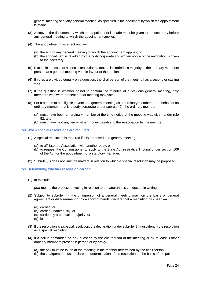general meeting or at any general meeting, as specified in the document by which the appointment is made.

- (3) A copy of the document by which the appointment is made must be given to the secretary before any general meeting to which the appointment applies.
- (4) The appointment has effect until
	- (a) the end of any general meeting to which the appointment applies; or
	- (b) the appointment is revoked by the body corporate and written notice of the revocation is given to the secretary.
- (5) Except in the case of a special resolution, a motion is carried if a majority of the ordinary members present at a general meeting vote in favour of the motion.
- (6) If votes are divided equally on a question, the chairperson of the meeting has a second or casting vote.
- (7) If the question is whether or not to confirm the minutes of a previous general meeting, only members who were present at that meeting may vote.
- (8) For a person to be eligible to vote at a general meeting as an ordinary member, or on behalf of an ordinary member that is a body corporate under subrule (2), the ordinary member —
	- (a) must have been an ordinary member at the time notice of the meeting was given under rule 52; and
	- (b) must have paid any fee or other money payable to the Association by the member.

#### **58. When special resolutions are required**

- (1) A special resolution is required if it is proposed at a general meeting
	- (a) to affiliate the Association with another body; or
	- (b) to request the Commissioner to apply to the State Administrative Tribunal under section 109 of the Act for the appointment of a statutory manager.
- (2) Subrule (1) does not limit the matters in relation to which a special resolution may be proposed.

#### **59. Determining whether resolution carried**

 $(1)$  In this rule —

*poll* means the process of voting in relation to a matter that is conducted in writing.

- (2) Subject to subrule (4), the chairperson of a general meeting may, on the basis of general agreement or disagreement or by a show of hands, declare that a resolution has been —
	- (a) carried; or
	- (b) carried unanimously; or
	- (c) carried by a particular majority; or
	- (d) lost.
- (3) If the resolution is a special resolution, the declaration under subrule (2) must identify the resolution as a special resolution.
- (4) If a poll is demanded on any question by the chairperson of the meeting or by at least 3 other ordinary members present in person or by proxy —
	- (a) the poll must be taken at the meeting in the manner determined by the chairperson;
	- (b) the chairperson must declare the determination of the resolution on the basis of the poll.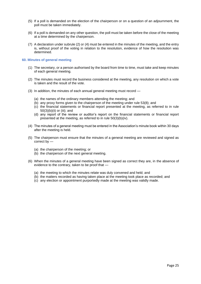- (5) If a poll is demanded on the election of the chairperson or on a question of an adjournment, the poll must be taken immediately.
- (6) If a poll is demanded on any other question, the poll must be taken before the close of the meeting at a time determined by the chairperson.
- (7) A declaration under subrule (2) or (4) must be entered in the minutes of the meeting, and the entry is, without proof of the voting in relation to the resolution, evidence of how the resolution was determined.

#### **60. Minutes of general meeting**

- (1) The secretary, or a person authorised by the board from time to time, must take and keep minutes of each general meeting.
- (2) The minutes must record the business considered at the meeting, any resolution on which a vote is taken and the result of the vote.
- (3) In addition, the minutes of each annual general meeting must record
	- (a) the names of the ordinary members attending the meeting; and
	- (b) any proxy forms given to the chairperson of the meeting under rule 53(8); and
	- (c) the financial statements or financial report presented at the meeting, as referred to in rule 50(3)(b)(ii) or (iii); and
	- (d) any report of the review or auditor's report on the financial statements or financial report presented at the meeting, as referred to in rule 50(3)(b)(iv).
- (4) The minutes of a general meeting must be entered in the Association's minute book within 30 days after the meeting is held.
- (5) The chairperson must ensure that the minutes of a general meeting are reviewed and signed as correct by —
	- (a) the chairperson of the meeting; or
	- (b) the chairperson of the next general meeting.
- (6) When the minutes of a general meeting have been signed as correct they are, in the absence of evidence to the contrary, taken to be proof that —
	- (a) the meeting to which the minutes relate was duly convened and held; and
	- (b) the matters recorded as having taken place at the meeting took place as recorded; and
	- (c) any election or appointment purportedly made at the meeting was validly made.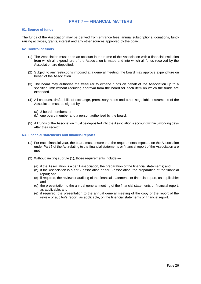## **PART 7 — FINANCIAL MATTERS**

#### **61. Source of funds**

The funds of the Association may be derived from entrance fees, annual subscriptions, donations, fundraising activities, grants, interest and any other sources approved by the board.

#### **62. Control of funds**

- (1) The Association must open an account in the name of the Association with a financial institution from which all expenditure of the Association is made and into which all funds received by the Association are deposited.
- (2) Subject to any restrictions imposed at a general meeting, the board may approve expenditure on behalf of the Association.
- (3) The board may authorise the treasurer to expend funds on behalf of the Association up to a specified limit without requiring approval from the board for each item on which the funds are expended.
- (4) All cheques, drafts, bills of exchange, promissory notes and other negotiable instruments of the Association must be signed by —
	- (a) 2 board members; or
	- (b) one board member and a person authorised by the board.
- (5) All funds of the Association must be deposited into the Association's account within 5 working days after their receipt.

#### **63. Financial statements and financial reports**

- (1) For each financial year, the board must ensure that the requirements imposed on the Association under Part 5 of the Act relating to the financial statements or financial report of the Association are met.
- (2) Without limiting subrule (1), those requirements include
	- (a) if the Association is a tier 1 association, the preparation of the financial statements; and
	- (b) if the Association is a tier 2 association or tier 3 association, the preparation of the financial report; and
	- (c) if required, the review or auditing of the financial statements or financial report, as applicable; and
	- (d) the presentation to the annual general meeting of the financial statements or financial report, as applicable; and
	- (e) if required, the presentation to the annual general meeting of the copy of the report of the review or auditor's report, as applicable, on the financial statements or financial report.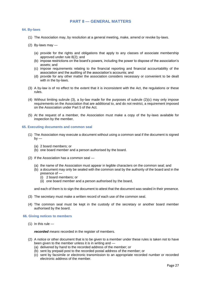## **PART 8 — GENERAL MATTERS**

#### **64. By-laws**

- (1) The Association may, by resolution at a general meeting, make, amend or revoke by-laws.
- (2) By-laws may  $-$ 
	- (a) provide for the rights and obligations that apply to any classes of associate membership approved under rule 8(2); and
	- (b) impose restrictions on the board's powers, including the power to dispose of the association's assets; and
	- (c) impose requirements relating to the financial reporting and financial accountability of the association and the auditing of the association's accounts; and
	- (d) provide for any other matter the association considers necessary or convenient to be dealt with in the by-laws.
- (3) A by-law is of no effect to the extent that it is inconsistent with the Act, the regulations or these rules.
- (4) Without limiting subrule (3), a by-law made for the purposes of subrule (2)(c) may only impose requirements on the Association that are additional to, and do not restrict, a requirement imposed on the Association under Part 5 of the Act.
- (5) At the request of a member, the Association must make a copy of the by-laws available for inspection by the member.

#### **65. Executing documents and common seal**

- (1) The Association may execute a document without using a common seal if the document is signed  $by -$ 
	- (a) 2 board members; or
	- (b) one board member and a person authorised by the board.
- (2) If the Association has a common seal
	- (a) the name of the Association must appear in legible characters on the common seal; and
	- (b) a document may only be sealed with the common seal by the authority of the board and in the presence of —
		- (i) 2 board members; or
		- (ii) one board member and a person authorised by the board,

and each of them is to sign the document to attest that the document was sealed in their presence.

- (3) The secretary must make a written record of each use of the common seal.
- (4) The common seal must be kept in the custody of the secretary or another board member authorised by the board.

#### **66. Giving notices to members**

 $(1)$  In this rule —

*recorded means* recorded in the register of members.

- (2) A notice or other document that is to be given to a member under these rules is taken not to have been given to the member unless it is in writing and —
	- (a) delivered by hand to the recorded address of the member; or
	- (b) sent by prepaid post to the recorded postal address of the member; or
	- (c) sent by facsimile or electronic transmission to an appropriate recorded number or recorded electronic address of the member.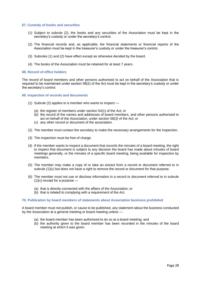#### **67. Custody of books and securities**

- (1) Subject to subrule (2), the books and any securities of the Association must be kept in the secretary's custody or under the secretary's control.
- (2) The financial records and, as applicable, the financial statements or financial reports of the Association must be kept in the treasurer's custody or under the treasurer's control.
- (3) Subrules (1) and (2) have effect except as otherwise decided by the board.
- (4) The books of the Association must be retained for at least 7 years.

#### **68. Record of office holders**

The record of board members and other persons authorised to act on behalf of the Association that is required to be maintained under section 58(2) of the Act must be kept in the secretary's custody or under the secretary's control.

**69. Inspection of records and documents**

- (1) Subrule (2) applies to a member who wants to inspect
	- (a) the register of members under section 54(1) of the Act; or
	- (b) the record of the names and addresses of board members, and other persons authorised to act on behalf of the Association, under section 58(3) of the Act; or
	- (c) any other record or document of the association.
- (2) The member must contact the secretary to make the necessary arrangements for the inspection.
- (3) The inspection must be free of charge.
- (4) If the member wants to inspect a document that records the minutes of a board meeting, the right to inspect that document is subject to any decision the board has made about minutes of board meetings generally, or the minutes of a specific board meeting, being available for inspection by members.
- (5) The member may make a copy of or take an extract from a record or document referred to in subrule (1)(c) but does not have a right to remove the record or document for that purpose.
- (6) The member must not use or disclose information in a record or document referred to in subrule  $(1)(c)$  except for a purpose  $-$ 
	- (a) that is directly connected with the affairs of the Association; or
	- (b) that is related to complying with a requirement of the Act.

#### **70. Publication by board members of statements about Association business prohibited**

A board member must not publish, or cause to be published, any statement about the business conducted by the Association at a general meeting or board meeting unless —

- (a) the board member has been authorised to do so at a board meeting; and
- (b) the authority given to the board member has been recorded in the minutes of the board meeting at which it was given.